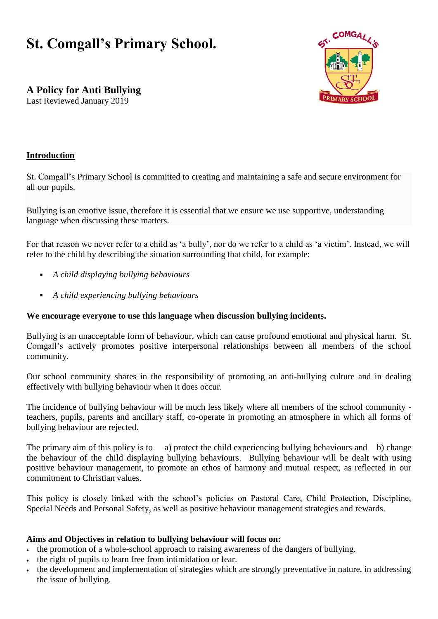# **St. Comgall's Primary School.**



**A Policy for Anti Bullying**

Last Reviewed January 2019

#### **Introduction**

St. Comgall's Primary School is committed to creating and maintaining a safe and secure environment for all our pupils.

Bullying is an emotive issue, therefore it is essential that we ensure we use supportive, understanding language when discussing these matters.

For that reason we never refer to a child as 'a bully', nor do we refer to a child as 'a victim'. Instead, we will refer to the child by describing the situation surrounding that child, for example:

- *A child displaying bullying behaviours*
- *A child experiencing bullying behaviours*

#### **We encourage everyone to use this language when discussion bullying incidents.**

Bullying is an unacceptable form of behaviour, which can cause profound emotional and physical harm. St. Comgall's actively promotes positive interpersonal relationships between all members of the school community.

Our school community shares in the responsibility of promoting an anti-bullying culture and in dealing effectively with bullying behaviour when it does occur.

The incidence of bullying behaviour will be much less likely where all members of the school community teachers, pupils, parents and ancillary staff, co-operate in promoting an atmosphere in which all forms of bullying behaviour are rejected.

The primary aim of this policy is to a) protect the child experiencing bullying behaviours and b) change the behaviour of the child displaying bullying behaviours. Bullying behaviour will be dealt with using positive behaviour management, to promote an ethos of harmony and mutual respect, as reflected in our commitment to Christian values.

This policy is closely linked with the school's policies on Pastoral Care, Child Protection, Discipline, Special Needs and Personal Safety, as well as positive behaviour management strategies and rewards.

#### **Aims and Objectives in relation to bullying behaviour will focus on:**

- the promotion of a whole-school approach to raising awareness of the dangers of bullying.
- the right of pupils to learn free from intimidation or fear.
- the development and implementation of strategies which are strongly preventative in nature, in addressing the issue of bullying.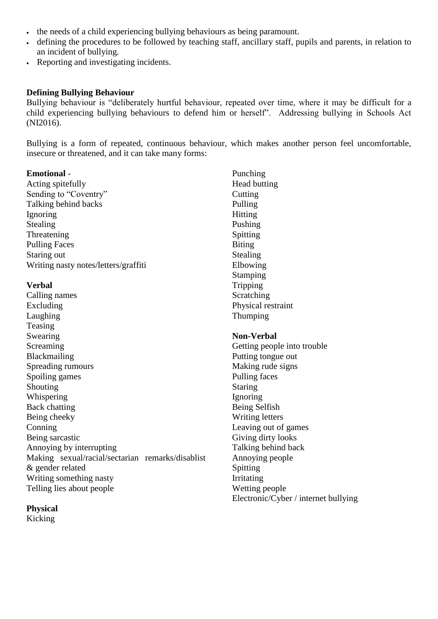- the needs of a child experiencing bullying behaviours as being paramount.
- defining the procedures to be followed by teaching staff, ancillary staff, pupils and parents, in relation to an incident of bullying.
- Reporting and investigating incidents.

#### **Defining Bullying Behaviour**

Bullying behaviour is "deliberately hurtful behaviour, repeated over time, where it may be difficult for a child experiencing bullying behaviours to defend him or herself". Addressing bullying in Schools Act (NI2016).

Bullying is a form of repeated, continuous behaviour, which makes another person feel uncomfortable, insecure or threatened, and it can take many forms:

#### **Emotional** -

Acting spitefully Sending to "Coventry" Talking behind backs Ignoring Stealing Threatening Pulling Faces Staring out Writing nasty notes/letters/graffiti

#### **Verbal**

Calling names Excluding Laughing Teasing Swearing Screaming Blackmailing Spreading rumours Spoiling games Shouting Whispering Back chatting Being cheeky Conning Being sarcastic Annoying by interrupting Making sexual/racial/sectarian remarks/disablist & gender related Writing something nasty Telling lies about people

Punching Head butting **Cutting** Pulling Hitting Pushing Spitting Biting Stealing Elbowing **Stamping** Tripping **Scratching** Physical restraint Thumping

#### **Non-Verbal**

Getting people into trouble Putting tongue out Making rude signs Pulling faces **Staring** Ignoring Being Selfish Writing letters Leaving out of games Giving dirty looks Talking behind back Annoying people Spitting Irritating Wetting people Electronic/Cyber / internet bullying

#### **Physical**

Kicking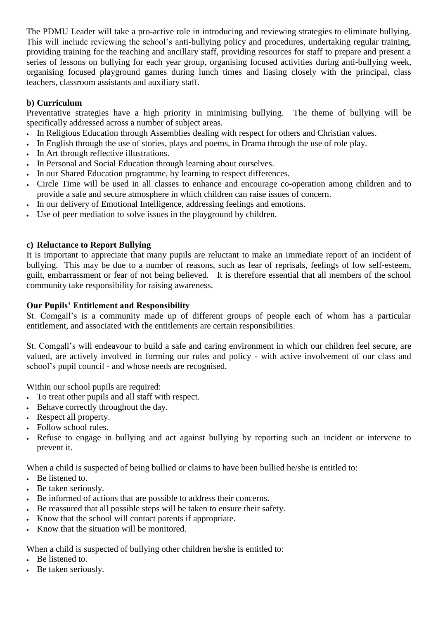The PDMU Leader will take a pro-active role in introducing and reviewing strategies to eliminate bullying. This will include reviewing the school's anti-bullying policy and procedures, undertaking regular training, providing training for the teaching and ancillary staff, providing resources for staff to prepare and present a series of lessons on bullying for each year group, organising focused activities during anti-bullying week, organising focused playground games during lunch times and liasing closely with the principal, class teachers, classroom assistants and auxiliary staff.

#### **b) Curriculum**

Preventative strategies have a high priority in minimising bullying. The theme of bullying will be specifically addressed across a number of subject areas.

- In Religious Education through Assemblies dealing with respect for others and Christian values.
- In English through the use of stories, plays and poems, in Drama through the use of role play.
- In Art through reflective illustrations.
- In Personal and Social Education through learning about ourselves.
- In our Shared Education programme, by learning to respect differences.
- Circle Time will be used in all classes to enhance and encourage co-operation among children and to provide a safe and secure atmosphere in which children can raise issues of concern.
- In our delivery of Emotional Intelligence, addressing feelings and emotions.
- Use of peer mediation to solve issues in the playground by children.

#### **c) Reluctance to Report Bullying**

It is important to appreciate that many pupils are reluctant to make an immediate report of an incident of bullying. This may be due to a number of reasons, such as fear of reprisals, feelings of low self-esteem, guilt, embarrassment or fear of not being believed. It is therefore essential that all members of the school community take responsibility for raising awareness.

#### **Our Pupils' Entitlement and Responsibility**

St. Comgall's is a community made up of different groups of people each of whom has a particular entitlement, and associated with the entitlements are certain responsibilities.

St. Comgall's will endeavour to build a safe and caring environment in which our children feel secure, are valued, are actively involved in forming our rules and policy - with active involvement of our class and school's pupil council - and whose needs are recognised.

Within our school pupils are required:

- To treat other pupils and all staff with respect.
- Behave correctly throughout the day.
- Respect all property.
- Follow school rules.
- Refuse to engage in bullying and act against bullying by reporting such an incident or intervene to prevent it.

When a child is suspected of being bullied or claims to have been bullied he/she is entitled to:

- Be listened to.
- Be taken seriously.
- Be informed of actions that are possible to address their concerns.
- Be reassured that all possible steps will be taken to ensure their safety.
- Know that the school will contact parents if appropriate.
- Know that the situation will be monitored.

When a child is suspected of bullying other children he/she is entitled to:

- Be listened to.
- Be taken seriously.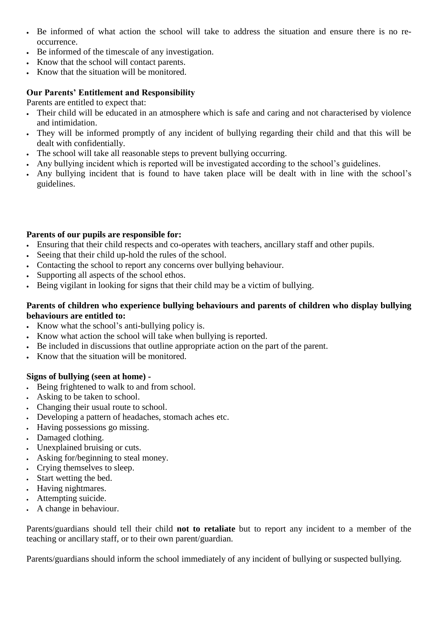- Be informed of what action the school will take to address the situation and ensure there is no reoccurrence.
- Be informed of the timescale of any investigation.
- Know that the school will contact parents.
- Know that the situation will be monitored.

#### **Our Parents' Entitlement and Responsibility**

Parents are entitled to expect that:

- Their child will be educated in an atmosphere which is safe and caring and not characterised by violence and intimidation.
- They will be informed promptly of any incident of bullying regarding their child and that this will be dealt with confidentially.
- The school will take all reasonable steps to prevent bullying occurring.
- Any bullying incident which is reported will be investigated according to the school's guidelines.
- Any bullying incident that is found to have taken place will be dealt with in line with the school's guidelines.

#### **Parents of our pupils are responsible for:**

- Ensuring that their child respects and co-operates with teachers, ancillary staff and other pupils.
- Seeing that their child up-hold the rules of the school.
- Contacting the school to report any concerns over bullying behaviour.
- Supporting all aspects of the school ethos.
- Being vigilant in looking for signs that their child may be a victim of bullying.

#### **Parents of children who experience bullying behaviours and parents of children who display bullying behaviours are entitled to:**

- Know what the school's anti-bullying policy is.
- Know what action the school will take when bullying is reported.
- Be included in discussions that outline appropriate action on the part of the parent.
- Know that the situation will be monitored.

#### **Signs of bullying (seen at home) -**

- Being frightened to walk to and from school.
- Asking to be taken to school.
- Changing their usual route to school.
- Developing a pattern of headaches, stomach aches etc.
- Having possessions go missing.
- Damaged clothing.
- Unexplained bruising or cuts.
- Asking for/beginning to steal money.
- Crying themselves to sleep.
- Start wetting the bed.
- Having nightmares.
- Attempting suicide.
- A change in behaviour.

Parents/guardians should tell their child **not to retaliate** but to report any incident to a member of the teaching or ancillary staff, or to their own parent/guardian.

Parents/guardians should inform the school immediately of any incident of bullying or suspected bullying.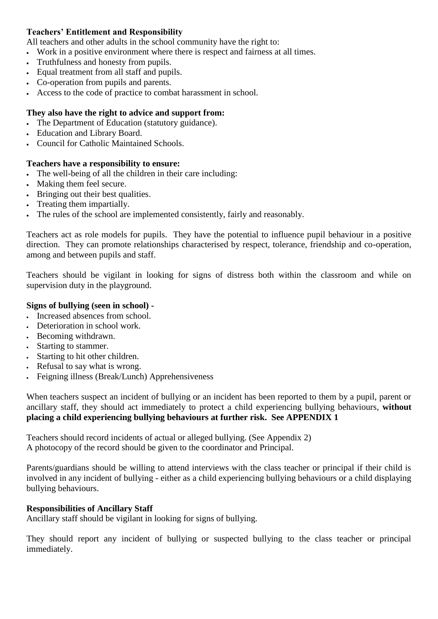#### **Teachers' Entitlement and Responsibility**

All teachers and other adults in the school community have the right to:

- Work in a positive environment where there is respect and fairness at all times.
- Truthfulness and honesty from pupils.
- Equal treatment from all staff and pupils.
- Co-operation from pupils and parents.
- Access to the code of practice to combat harassment in school.

#### **They also have the right to advice and support from:**

- The Department of Education (statutory guidance).
- Education and Library Board.
- Council for Catholic Maintained Schools.

#### **Teachers have a responsibility to ensure:**

- The well-being of all the children in their care including:
- Making them feel secure.
- Bringing out their best qualities.
- Treating them impartially.
- The rules of the school are implemented consistently, fairly and reasonably.

Teachers act as role models for pupils. They have the potential to influence pupil behaviour in a positive direction. They can promote relationships characterised by respect, tolerance, friendship and co-operation, among and between pupils and staff.

Teachers should be vigilant in looking for signs of distress both within the classroom and while on supervision duty in the playground.

#### **Signs of bullying (seen in school) -**

- Increased absences from school.
- Deterioration in school work.
- Becoming withdrawn.
- Starting to stammer.
- Starting to hit other children.
- Refusal to say what is wrong.
- Feigning illness (Break/Lunch) Apprehensiveness

When teachers suspect an incident of bullying or an incident has been reported to them by a pupil, parent or ancillary staff, they should act immediately to protect a child experiencing bullying behaviours, **without placing a child experiencing bullying behaviours at further risk. See APPENDIX 1** 

Teachers should record incidents of actual or alleged bullying. (See Appendix 2) A photocopy of the record should be given to the coordinator and Principal.

Parents/guardians should be willing to attend interviews with the class teacher or principal if their child is involved in any incident of bullying - either as a child experiencing bullying behaviours or a child displaying bullying behaviours.

#### **Responsibilities of Ancillary Staff**

Ancillary staff should be vigilant in looking for signs of bullying.

They should report any incident of bullying or suspected bullying to the class teacher or principal immediately.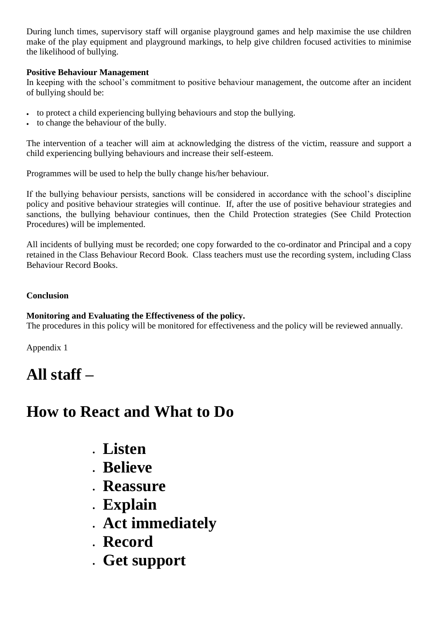During lunch times, supervisory staff will organise playground games and help maximise the use children make of the play equipment and playground markings, to help give children focused activities to minimise the likelihood of bullying.

#### **Positive Behaviour Management**

In keeping with the school's commitment to positive behaviour management, the outcome after an incident of bullying should be:

- to protect a child experiencing bullying behaviours and stop the bullying.
- to change the behaviour of the bully.

The intervention of a teacher will aim at acknowledging the distress of the victim, reassure and support a child experiencing bullying behaviours and increase their self-esteem.

Programmes will be used to help the bully change his/her behaviour.

If the bullying behaviour persists, sanctions will be considered in accordance with the school's discipline policy and positive behaviour strategies will continue. If, after the use of positive behaviour strategies and sanctions, the bullying behaviour continues, then the Child Protection strategies (See Child Protection Procedures) will be implemented.

All incidents of bullying must be recorded; one copy forwarded to the co-ordinator and Principal and a copy retained in the Class Behaviour Record Book. Class teachers must use the recording system, including Class Behaviour Record Books.

#### **Conclusion**

#### **Monitoring and Evaluating the Effectiveness of the policy.**

The procedures in this policy will be monitored for effectiveness and the policy will be reviewed annually.

Appendix 1

# **All staff –**

# **How to React and What to Do**

- **Listen**
- **Believe**
- **Reassure**
- **Explain**
- **Act immediately**
- **Record**
- **Get support**